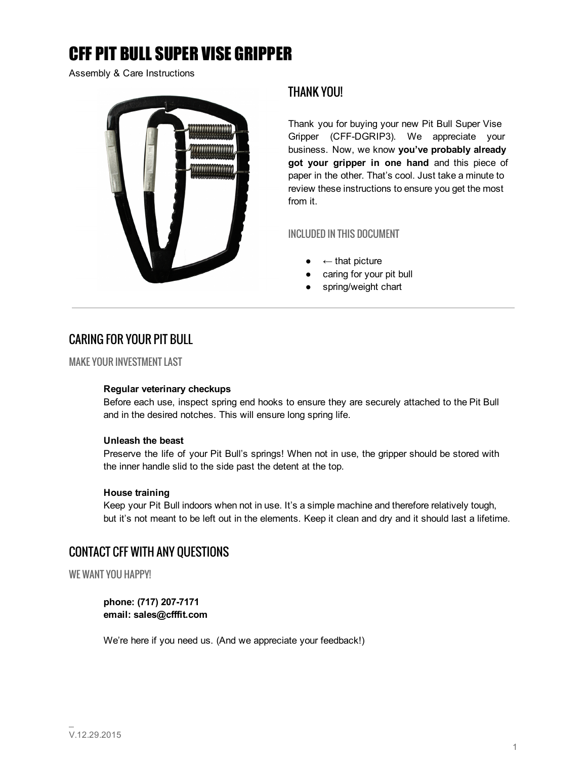# CFF PIT BULL SUPER VISE GRIPPER

Assembly & Care Instructions



### THANK YOU!

Thank you for buying your new Pit Bull Super Vise Gripper (CFF-DGRIP3). We appreciate your business. Now, we know you've probably already got your gripper in one hand and this piece of paper in the other. That's cool. Just take a minute to review these instructions to ensure you get the most from it.

### INCLUDED IN THIS DOCUMENT

- $\leftarrow$  that picture
- caring for your pit bull
- spring/weight chart

# CARING FOR YOUR PIT BULL

MAKE YOUR INVESTMENT LAST

#### Regular veterinary checkups

Before each use, inspect spring end hooks to ensure they are securely attached to the Pit Bull and in the desired notches. This will ensure long spring life.

#### Unleash the beast

Preserve the life of your Pit Bull's springs! When not in use, the gripper should be stored with the inner handle slid to the side past the detent at the top.

#### House training

Keep your Pit Bull indoors when not in use. It's a simple machine and therefore relatively tough, but it's not meant to be left out in the elements. Keep it clean and dry and it should last a lifetime.

## CONTACT CFF WITH ANY QUESTIONS

WE WANT YOU HAPPY!

phone: (717) 207-7171 email: sales@cfffit.com

We're here if you need us. (And we appreciate your feedback!)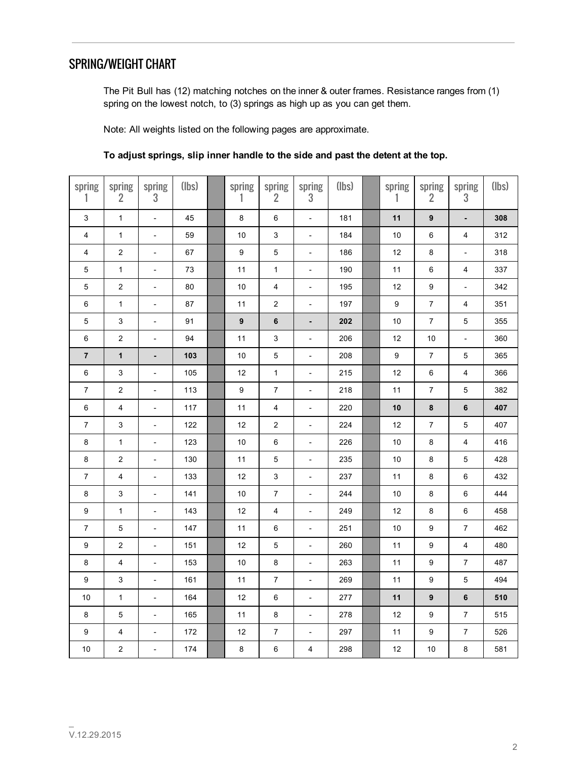# SPRING/WEIGHT CHART

The Pit Bull has (12) matching notches on the inner & outer frames. Resistance ranges from (1) spring on the lowest notch, to (3) springs as high up as you can get them.

Note: All weights listed on the following pages are approximate.

| spring                  | spring<br>$\overline{2}$  | spring<br>$\sqrt{3}$         | (lbs) | spring<br>1      | spring<br>$\overline{2}$  | spring<br>$\sqrt{3}$         | (lbs) | spring<br>1      | spring<br>$\overline{2}$ | spring<br>$\sqrt{3}$     | (lbs) |
|-------------------------|---------------------------|------------------------------|-------|------------------|---------------------------|------------------------------|-------|------------------|--------------------------|--------------------------|-------|
| 3                       | $\mathbf{1}$              | $\overline{a}$               | 45    | $\bf 8$          | $\,6\,$                   | $\overline{\phantom{a}}$     | 181   | 11               | $\boldsymbol{9}$         | $\overline{a}$           | 308   |
| $\overline{\mathbf{4}}$ | $\mathbf{1}$              | $\overline{\phantom{a}}$     | 59    | 10               | $\ensuremath{\mathsf{3}}$ | $\overline{\phantom{a}}$     | 184   | $10$             | $\,6\,$                  | $\overline{\mathbf{4}}$  | 312   |
| 4                       | $\overline{c}$            | $\overline{\phantom{0}}$     | 67    | 9                | 5                         | $\overline{\phantom{a}}$     | 186   | 12               | $\bf 8$                  | $\overline{\phantom{a}}$ | 318   |
| $\mathbf 5$             | $\mathbf{1}$              | $\frac{1}{2}$                | 73    | 11               | $\mathbf{1}$              | $\overline{\phantom{a}}$     | 190   | 11               | $\,6\,$                  | $\overline{\mathbf{4}}$  | 337   |
| 5                       | $\boldsymbol{2}$          | $\overline{\phantom{m}}$     | 80    | 10               | $\overline{\mathbf{4}}$   | $\overline{\phantom{a}}$     | 195   | 12               | $\boldsymbol{9}$         | $\blacksquare$           | 342   |
| 6                       | $\mathbf{1}$              | $\overline{\phantom{0}}$     | 87    | 11               | $\overline{2}$            | $\overline{\phantom{a}}$     | 197   | 9                | $\boldsymbol{7}$         | 4                        | 351   |
| 5                       | $\ensuremath{\mathsf{3}}$ | $\overline{\phantom{a}}$     | 91    | $\boldsymbol{9}$ | 6                         | $\overline{\phantom{a}}$     | 202   | $10$             | $\overline{7}$           | $\mathbf 5$              | 355   |
| $\,6\,$                 | $\boldsymbol{2}$          | $\overline{\phantom{a}}$     | 94    | 11               | 3                         | $\overline{\phantom{a}}$     | 206   | 12               | $10$                     | ÷,                       | 360   |
| $\overline{7}$          | $\mathbf{1}$              | $\overline{\phantom{0}}$     | 103   | 10               | 5                         | $\qquad \qquad \blacksquare$ | 208   | $\boldsymbol{9}$ | 7                        | $\mathbf 5$              | 365   |
| 6                       | 3                         | $\overline{\phantom{m}}$     | 105   | 12               | $\mathbf{1}$              | $\overline{\phantom{a}}$     | 215   | 12               | $\,6\,$                  | $\overline{\mathbf{4}}$  | 366   |
| 7                       | $\boldsymbol{2}$          | $\overline{\phantom{a}}$     | 113   | $\boldsymbol{9}$ | $\boldsymbol{7}$          | $\overline{\phantom{a}}$     | 218   | 11               | $\boldsymbol{7}$         | $\mathbf 5$              | 382   |
| 6                       | 4                         | $\qquad \qquad \blacksquare$ | 117   | 11               | 4                         | $\qquad \qquad \blacksquare$ | 220   | 10               | 8                        | 6                        | 407   |
| 7                       | 3                         | $\overline{\phantom{0}}$     | 122   | 12               | $\boldsymbol{2}$          | $\frac{1}{2}$                | 224   | 12               | $\boldsymbol{7}$         | $\mathbf 5$              | 407   |
| $\bf 8$                 | $\mathbf{1}$              | $\overline{\phantom{a}}$     | 123   | 10               | $\,6\,$                   | $\blacksquare$               | 226   | $10$             | $\bf 8$                  | $\overline{\mathbf{4}}$  | 416   |
| 8                       | $\overline{2}$            | $\overline{\phantom{0}}$     | 130   | 11               | $\mathbf 5$               | $\qquad \qquad \blacksquare$ | 235   | 10               | $\bf 8$                  | $\mathbf 5$              | 428   |
| $\boldsymbol{7}$        | 4                         | $\overline{\phantom{0}}$     | 133   | 12               | 3                         | $\overline{\phantom{a}}$     | 237   | 11               | $\bf8$                   | $\, 6$                   | 432   |
| $\bf 8$                 | 3                         | $\overline{\phantom{a}}$     | 141   | $10$             | $\boldsymbol{7}$          | $\overline{\phantom{a}}$     | 244   | $10$             | $\bf 8$                  | $\,6\,$                  | 444   |
| 9                       | $\mathbf{1}$              | $\overline{\phantom{0}}$     | 143   | 12               | 4                         | $\overline{\phantom{a}}$     | 249   | 12               | 8                        | $\,6\,$                  | 458   |
| $\overline{7}$          | 5                         | $\frac{1}{2}$                | 147   | 11               | $\,6\,$                   | $\overline{\phantom{0}}$     | 251   | $10$             | $\boldsymbol{9}$         | $\boldsymbol{7}$         | 462   |
| 9                       | $\boldsymbol{2}$          | $\overline{\phantom{m}}$     | 151   | 12               | 5                         | $\blacksquare$               | 260   | 11               | $\boldsymbol{9}$         | $\overline{\mathbf{4}}$  | 480   |
| 8                       | $\overline{\mathbf{4}}$   | $\overline{\phantom{0}}$     | 153   | 10               | $\bf 8$                   | $\overline{\phantom{a}}$     | 263   | 11               | $\boldsymbol{9}$         | $\boldsymbol{7}$         | 487   |
| $\boldsymbol{9}$        | 3                         | $\overline{\phantom{0}}$     | 161   | 11               | $\boldsymbol{7}$          | $\overline{\phantom{a}}$     | 269   | 11               | $\boldsymbol{9}$         | $\mathbf 5$              | 494   |
| 10                      | $\mathbf{1}$              | $\overline{\phantom{m}}$     | 164   | 12               | 6                         | $\overline{\phantom{a}}$     | 277   | 11               | $\boldsymbol{9}$         | $\bf 6$                  | 510   |
| 8                       | 5                         | $\overline{\phantom{a}}$     | 165   | 11               | $\bf 8$                   | $\overline{\phantom{a}}$     | 278   | 12               | $\boldsymbol{9}$         | $\boldsymbol{7}$         | 515   |
| 9                       | 4                         | $\qquad \qquad \blacksquare$ | 172   | 12               | $\boldsymbol{7}$          | $\overline{\phantom{0}}$     | 297   | 11               | $\boldsymbol{9}$         | $\boldsymbol{7}$         | 526   |
| $10$                    | $\overline{2}$            | $\overline{\phantom{0}}$     | 174   | 8                | $\,6\,$                   | 4                            | 298   | 12               | $10$                     | 8                        | 581   |

### To adjust springs, slip inner handle to the side and past the detent at the top.